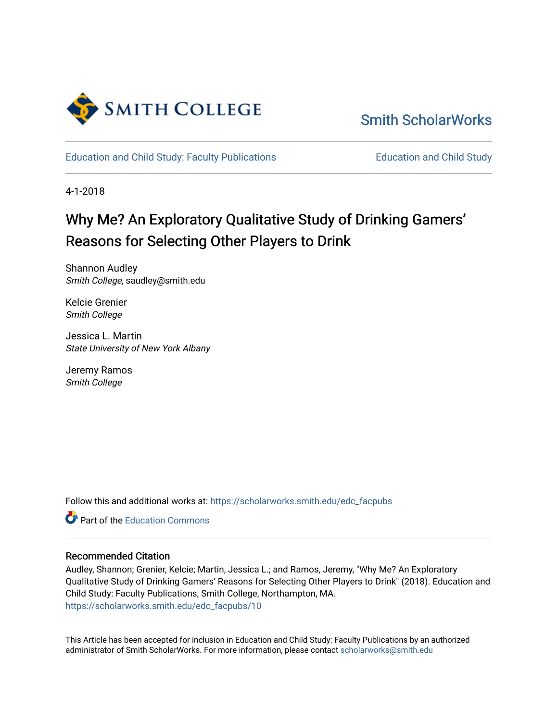

[Smith ScholarWorks](https://scholarworks.smith.edu/) 

[Education and Child Study: Faculty Publications](https://scholarworks.smith.edu/edc_facpubs) **Education and Child Study** 

4-1-2018

# Why Me? An Exploratory Qualitative Study of Drinking Gamers' Reasons for Selecting Other Players to Drink

Shannon Audley Smith College, saudley@smith.edu

Kelcie Grenier Smith College

Jessica L. Martin State University of New York Albany

Jeremy Ramos Smith College

Follow this and additional works at: [https://scholarworks.smith.edu/edc\\_facpubs](https://scholarworks.smith.edu/edc_facpubs?utm_source=scholarworks.smith.edu%2Fedc_facpubs%2F10&utm_medium=PDF&utm_campaign=PDFCoverPages) 



# Recommended Citation

Audley, Shannon; Grenier, Kelcie; Martin, Jessica L.; and Ramos, Jeremy, "Why Me? An Exploratory Qualitative Study of Drinking Gamers' Reasons for Selecting Other Players to Drink" (2018). Education and Child Study: Faculty Publications, Smith College, Northampton, MA. [https://scholarworks.smith.edu/edc\\_facpubs/10](https://scholarworks.smith.edu/edc_facpubs/10?utm_source=scholarworks.smith.edu%2Fedc_facpubs%2F10&utm_medium=PDF&utm_campaign=PDFCoverPages)

This Article has been accepted for inclusion in Education and Child Study: Faculty Publications by an authorized administrator of Smith ScholarWorks. For more information, please contact [scholarworks@smith.edu](mailto:scholarworks@smith.edu)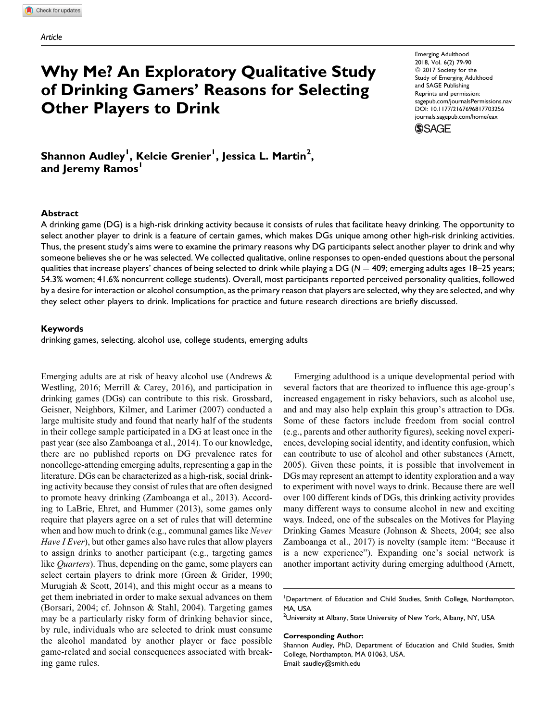# Why Me? An Exploratory Qualitative Study of Drinking Gamers' Reasons for Selecting Other Players to Drink

Emerging Adulthood 2018, Vol. 6(2) 79-90  $@$  2017 Society for the Study of Emerging Adulthood and SAGE Publishing Reprints and permission: [sagepub.com/journalsPermissions.nav](https://us.sagepub.com/en-us/journals-permissions) [DOI: 10.1177/2167696817703256](https://doi.org/10.1177/2167696817703256) [journals.sagepub.com/home/eax](http://journals.sagepub.com/home/eax)

**SSAGE** 

Shannon Audley<sup>l</sup>, Kelcie Grenier<sup>l</sup>, Jessica L. Martin<sup>2</sup>, and Jeremy Ramos'

#### Abstract

A drinking game (DG) is a high-risk drinking activity because it consists of rules that facilitate heavy drinking. The opportunity to select another player to drink is a feature of certain games, which makes DGs unique among other high-risk drinking activities. Thus, the present study's aims were to examine the primary reasons why DG participants select another player to drink and why someone believes she or he was selected. We collected qualitative, online responses to open-ended questions about the personal qualities that increase players' chances of being selected to drink while playing a DG ( $N = 409$ ; emerging adults ages 18–25 years; 54.3% women; 41.6% noncurrent college students). Overall, most participants reported perceived personality qualities, followed by a desire for interaction or alcohol consumption, as the primary reason that players are selected, why they are selected, and why they select other players to drink. Implications for practice and future research directions are briefly discussed.

### Keywords

drinking games, selecting, alcohol use, college students, emerging adults

Emerging adults are at risk of heavy alcohol use (Andrews & Westling, 2016; Merrill & Carey, 2016), and participation in drinking games (DGs) can contribute to this risk. Grossbard, Geisner, Neighbors, Kilmer, and Larimer (2007) conducted a large multisite study and found that nearly half of the students in their college sample participated in a DG at least once in the past year (see also Zamboanga et al., 2014). To our knowledge, there are no published reports on DG prevalence rates for noncollege-attending emerging adults, representing a gap in the literature. DGs can be characterized as a high-risk, social drinking activity because they consist of rules that are often designed to promote heavy drinking (Zamboanga et al., 2013). According to LaBrie, Ehret, and Hummer (2013), some games only require that players agree on a set of rules that will determine when and how much to drink (e.g., communal games like Never Have I Ever), but other games also have rules that allow players to assign drinks to another participant (e.g., targeting games like *Quarters*). Thus, depending on the game, some players can select certain players to drink more (Green & Grider, 1990; Murugiah & Scott, 2014), and this might occur as a means to get them inebriated in order to make sexual advances on them (Borsari, 2004; cf. Johnson & Stahl, 2004). Targeting games may be a particularly risky form of drinking behavior since, by rule, individuals who are selected to drink must consume the alcohol mandated by another player or face possible game-related and social consequences associated with breaking game rules.

Emerging adulthood is a unique developmental period with several factors that are theorized to influence this age-group's increased engagement in risky behaviors, such as alcohol use, and and may also help explain this group's attraction to DGs. Some of these factors include freedom from social control (e.g., parents and other authority figures), seeking novel experiences, developing social identity, and identity confusion, which can contribute to use of alcohol and other substances (Arnett, 2005). Given these points, it is possible that involvement in DGs may represent an attempt to identity exploration and a way to experiment with novel ways to drink. Because there are well over 100 different kinds of DGs, this drinking activity provides many different ways to consume alcohol in new and exciting ways. Indeed, one of the subscales on the Motives for Playing Drinking Games Measure (Johnson & Sheets, 2004; see also Zamboanga et al., 2017) is novelty (sample item: "Because it is a new experience"). Expanding one's social network is another important activity during emerging adulthood (Arnett,

#### Corresponding Author:

Shannon Audley, PhD, Department of Education and Child Studies, Smith College, Northampton, MA 01063, USA. Email: saudley@smith.edu

<sup>&</sup>lt;sup>1</sup>Department of Education and Child Studies, Smith College, Northampton, MA, USA

 $^2$ University at Albany, State University of New York, Albany, NY, USA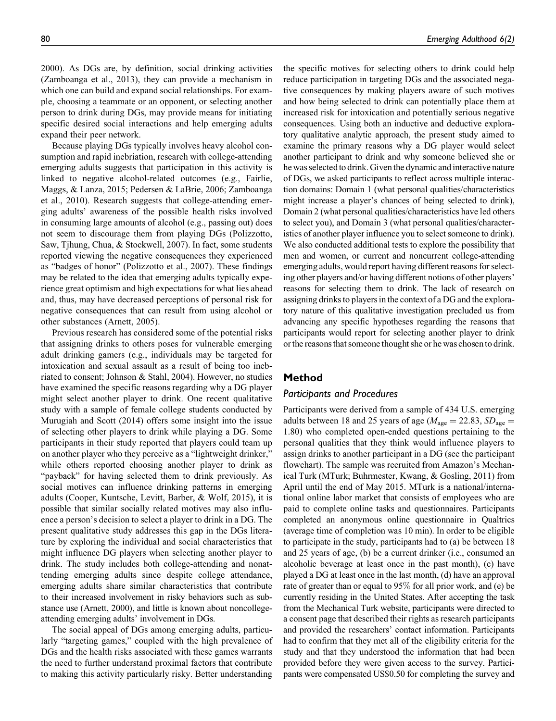2000). As DGs are, by definition, social drinking activities (Zamboanga et al., 2013), they can provide a mechanism in which one can build and expand social relationships. For example, choosing a teammate or an opponent, or selecting another person to drink during DGs, may provide means for initiating specific desired social interactions and help emerging adults expand their peer network.

Because playing DGs typically involves heavy alcohol consumption and rapid inebriation, research with college-attending emerging adults suggests that participation in this activity is linked to negative alcohol-related outcomes (e.g., Fairlie, Maggs, & Lanza, 2015; Pedersen & LaBrie, 2006; Zamboanga et al., 2010). Research suggests that college-attending emerging adults' awareness of the possible health risks involved in consuming large amounts of alcohol (e.g., passing out) does not seem to discourage them from playing DGs (Polizzotto, Saw, Tjhung, Chua, & Stockwell, 2007). In fact, some students reported viewing the negative consequences they experienced as "badges of honor" (Polizzotto et al., 2007). These findings may be related to the idea that emerging adults typically experience great optimism and high expectations for what lies ahead and, thus, may have decreased perceptions of personal risk for negative consequences that can result from using alcohol or other substances (Arnett, 2005).

Previous research has considered some of the potential risks that assigning drinks to others poses for vulnerable emerging adult drinking gamers (e.g., individuals may be targeted for intoxication and sexual assault as a result of being too inebriated to consent; Johnson & Stahl, 2004). However, no studies have examined the specific reasons regarding why a DG player might select another player to drink. One recent qualitative study with a sample of female college students conducted by Murugiah and Scott (2014) offers some insight into the issue of selecting other players to drink while playing a DG. Some participants in their study reported that players could team up on another player who they perceive as a "lightweight drinker," while others reported choosing another player to drink as "payback" for having selected them to drink previously. As social motives can influence drinking patterns in emerging adults (Cooper, Kuntsche, Levitt, Barber, & Wolf, 2015), it is possible that similar socially related motives may also influence a person's decision to select a player to drink in a DG. The present qualitative study addresses this gap in the DGs literature by exploring the individual and social characteristics that might influence DG players when selecting another player to drink. The study includes both college-attending and nonattending emerging adults since despite college attendance, emerging adults share similar characteristics that contribute to their increased involvement in risky behaviors such as substance use (Arnett, 2000), and little is known about noncollegeattending emerging adults' involvement in DGs.

The social appeal of DGs among emerging adults, particularly "targeting games," coupled with the high prevalence of DGs and the health risks associated with these games warrants the need to further understand proximal factors that contribute to making this activity particularly risky. Better understanding

the specific motives for selecting others to drink could help reduce participation in targeting DGs and the associated negative consequences by making players aware of such motives and how being selected to drink can potentially place them at increased risk for intoxication and potentially serious negative consequences. Using both an inductive and deductive exploratory qualitative analytic approach, the present study aimed to examine the primary reasons why a DG player would select another participant to drink and why someone believed she or he was selected to drink. Given the dynamic and interactive nature of DGs, we asked participants to reflect across multiple interaction domains: Domain 1 (what personal qualities/characteristics might increase a player's chances of being selected to drink), Domain 2 (what personal qualities/characteristics have led others to select you), and Domain 3 (what personal qualities/characteristics of another player influence you to select someone to drink). We also conducted additional tests to explore the possibility that men and women, or current and noncurrent college-attending emerging adults, would report having different reasons for selecting other players and/or having different notions of other players' reasons for selecting them to drink. The lack of research on assigning drinks to players in the context of a DG and the exploratory nature of this qualitative investigation precluded us from advancing any specific hypotheses regarding the reasons that participants would report for selecting another player to drink orthe reasons that someone thought she or he was chosento drink.

# Method

# Participants and Procedures

Participants were derived from a sample of 434 U.S. emerging adults between 18 and 25 years of age ( $M_{\text{age}} = 22.83$ ,  $SD_{\text{age}} =$ 1.80) who completed open-ended questions pertaining to the personal qualities that they think would influence players to assign drinks to another participant in a DG (see the participant flowchart). The sample was recruited from Amazon's Mechanical Turk (MTurk; Buhrmester, Kwang, & Gosling, 2011) from April until the end of May 2015. MTurk is a national/international online labor market that consists of employees who are paid to complete online tasks and questionnaires. Participants completed an anonymous online questionnaire in Qualtrics (average time of completion was 10 min). In order to be eligible to participate in the study, participants had to (a) be between 18 and 25 years of age, (b) be a current drinker (i.e., consumed an alcoholic beverage at least once in the past month), (c) have played a DG at least once in the last month, (d) have an approval rate of greater than or equal to 95% for all prior work, and (e) be currently residing in the United States. After accepting the task from the Mechanical Turk website, participants were directed to a consent page that described their rights as research participants and provided the researchers' contact information. Participants had to confirm that they met all of the eligibility criteria for the study and that they understood the information that had been provided before they were given access to the survey. Participants were compensated US\$0.50 for completing the survey and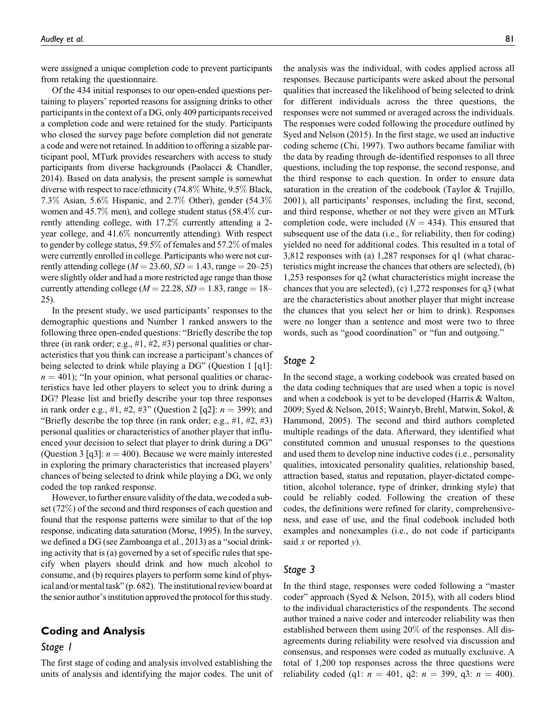were assigned a unique completion code to prevent participants from retaking the questionnaire.

Of the 434 initial responses to our open-ended questions pertaining to players' reported reasons for assigning drinks to other participants in the context of a DG, only 409 participants received a completion code and were retained for the study. Participants who closed the survey page before completion did not generate a code and were not retained. In addition to offering a sizable participant pool, MTurk provides researchers with access to study participants from diverse backgrounds (Paolacci & Chandler, 2014). Based on data analysis, the present sample is somewhat diverse with respect to race/ethnicity (74.8% White, 9.5% Black, 7.3% Asian, 5.6% Hispanic, and 2.7% Other), gender (54.3% women and 45.7% men), and college student status (58.4% currently attending college, with 17.2% currently attending a 2 year college, and 41.6% noncurrently attending). With respect to gender by college status, 59.5% of females and 57.2% of males were currently enrolled in college. Participants who were not currently attending college ( $M = 23.60$ ,  $SD = 1.43$ , range  $= 20-25$ ) were slightly older and had a more restricted age range than those currently attending college ( $M = 22.28$ ,  $SD = 1.83$ , range = 18– 25).

In the present study, we used participants' responses to the demographic questions and Number 1 ranked answers to the following three open-ended questions: "Briefly describe the top three (in rank order; e.g., #1, #2, #3) personal qualities or characteristics that you think can increase a participant's chances of being selected to drink while playing a DG" (Question 1 [q1]:  $n = 401$ ); "In your opinion, what personal qualities or characteristics have led other players to select you to drink during a DG? Please list and briefly describe your top three responses in rank order e.g., #1, #2, #3" (Question 2 [q2]:  $n = 399$ ); and "Briefly describe the top three (in rank order; e.g.,  $\#1, \#2, \#3$ ) personal qualities or characteristics of another player that influenced your decision to select that player to drink during a DG" (Ouestion 3 [q3]:  $n = 400$ ). Because we were mainly interested in exploring the primary characteristics that increased players' chances of being selected to drink while playing a DG, we only coded the top ranked response.

However, to further ensure validity of the data, we coded a subset (72%) of the second and third responses of each question and found that the response patterns were similar to that of the top response, indicating data saturation (Morse, 1995). In the survey, we defined a DG (see Zamboanga et al., 2013) as a "social drinking activity that is (a) governed by a set of specific rules that specify when players should drink and how much alcohol to consume, and (b) requires players to perform some kind of physical and/or mental task" (p. 682). The institutional review board at the senior author's institution approved the protocol for this study.

## Coding and Analysis

## Stage 1

The first stage of coding and analysis involved establishing the units of analysis and identifying the major codes. The unit of the analysis was the individual, with codes applied across all responses. Because participants were asked about the personal qualities that increased the likelihood of being selected to drink for different individuals across the three questions, the responses were not summed or averaged across the individuals. The responses were coded following the procedure outlined by Syed and Nelson (2015). In the first stage, we used an inductive coding scheme (Chi, 1997). Two authors became familiar with the data by reading through de-identified responses to all three questions, including the top response, the second response, and the third response to each question. In order to ensure data saturation in the creation of the codebook (Taylor & Trujillo, 2001), all participants' responses, including the first, second, and third response, whether or not they were given an MTurk completion code, were included  $(N = 434)$ . This ensured that subsequent use of the data (i.e., for reliability, then for coding) yielded no need for additional codes. This resulted in a total of 3,812 responses with (a) 1,287 responses for q1 (what characteristics might increase the chances that others are selected), (b) 1,253 responses for q2 (what characteristics might increase the chances that you are selected), (c) 1,272 responses for q3 (what are the characteristics about another player that might increase the chances that you select her or him to drink). Responses were no longer than a sentence and most were two to three words, such as "good coordination" or "fun and outgoing."

# Stage 2

In the second stage, a working codebook was created based on the data coding techniques that are used when a topic is novel and when a codebook is yet to be developed (Harris & Walton, 2009; Syed & Nelson, 2015; Wainryb, Brehl, Matwin, Sokol, & Hammond, 2005). The second and third authors completed multiple readings of the data. Afterward, they identified what constituted common and unusual responses to the questions and used them to develop nine inductive codes (i.e., personality qualities, intoxicated personality qualities, relationship based, attraction based, status and reputation, player-dictated competition, alcohol tolerance, type of drinker, drinking style) that could be reliably coded. Following the creation of these codes, the definitions were refined for clarity, comprehensiveness, and ease of use, and the final codebook included both examples and nonexamples (i.e., do not code if participants said  $x$  or reported  $y$ ).

## Stage 3

In the third stage, responses were coded following a "master coder" approach (Syed & Nelson, 2015), with all coders blind to the individual characteristics of the respondents. The second author trained a naive coder and intercoder reliability was then established between them using 20% of the responses. All disagreements during reliability were resolved via discussion and consensus, and responses were coded as mutually exclusive. A total of 1,200 top responses across the three questions were reliability coded (q1:  $n = 401$ , q2:  $n = 399$ , q3:  $n = 400$ ).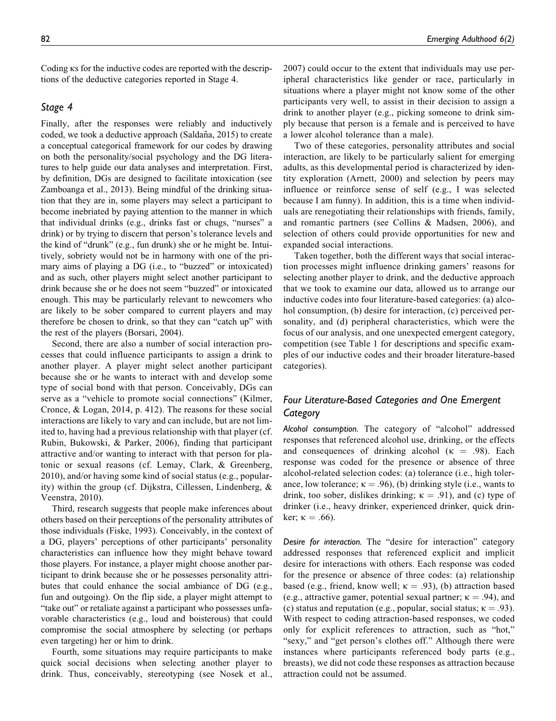Coding ks for the inductive codes are reported with the descriptions of the deductive categories reported in Stage 4.

## Stage 4

Finally, after the responses were reliably and inductively coded, we took a deductive approach (Saldaña, 2015) to create a conceptual categorical framework for our codes by drawing on both the personality/social psychology and the DG literatures to help guide our data analyses and interpretation. First, by definition, DGs are designed to facilitate intoxication (see Zamboanga et al., 2013). Being mindful of the drinking situation that they are in, some players may select a participant to become inebriated by paying attention to the manner in which that individual drinks (e.g., drinks fast or chugs, "nurses" a drink) or by trying to discern that person's tolerance levels and the kind of "drunk" (e.g., fun drunk) she or he might be. Intuitively, sobriety would not be in harmony with one of the primary aims of playing a DG (i.e., to "buzzed" or intoxicated) and as such, other players might select another participant to drink because she or he does not seem "buzzed" or intoxicated enough. This may be particularly relevant to newcomers who are likely to be sober compared to current players and may therefore be chosen to drink, so that they can "catch up" with the rest of the players (Borsari, 2004).

Second, there are also a number of social interaction processes that could influence participants to assign a drink to another player. A player might select another participant because she or he wants to interact with and develop some type of social bond with that person. Conceivably, DGs can serve as a "vehicle to promote social connections" (Kilmer, Cronce, & Logan, 2014, p. 412). The reasons for these social interactions are likely to vary and can include, but are not limited to, having had a previous relationship with that player (cf. Rubin, Bukowski, & Parker, 2006), finding that participant attractive and/or wanting to interact with that person for platonic or sexual reasons (cf. Lemay, Clark, & Greenberg, 2010), and/or having some kind of social status (e.g., popularity) within the group (cf. Dijkstra, Cillessen, Lindenberg, & Veenstra, 2010).

Third, research suggests that people make inferences about others based on their perceptions of the personality attributes of those individuals (Fiske, 1993). Conceivably, in the context of a DG, players' perceptions of other participants' personality characteristics can influence how they might behave toward those players. For instance, a player might choose another participant to drink because she or he possesses personality attributes that could enhance the social ambiance of DG (e.g., fun and outgoing). On the flip side, a player might attempt to "take out" or retaliate against a participant who possesses unfavorable characteristics (e.g., loud and boisterous) that could compromise the social atmosphere by selecting (or perhaps even targeting) her or him to drink.

Fourth, some situations may require participants to make quick social decisions when selecting another player to drink. Thus, conceivably, stereotyping (see Nosek et al.,

2007) could occur to the extent that individuals may use peripheral characteristics like gender or race, particularly in situations where a player might not know some of the other participants very well, to assist in their decision to assign a drink to another player (e.g., picking someone to drink simply because that person is a female and is perceived to have a lower alcohol tolerance than a male).

Two of these categories, personality attributes and social interaction, are likely to be particularly salient for emerging adults, as this developmental period is characterized by identity exploration (Arnett, 2000) and selection by peers may influence or reinforce sense of self (e.g., I was selected because I am funny). In addition, this is a time when individuals are renegotiating their relationships with friends, family, and romantic partners (see Collins & Madsen, 2006), and selection of others could provide opportunities for new and expanded social interactions.

Taken together, both the different ways that social interaction processes might influence drinking gamers' reasons for selecting another player to drink, and the deductive approach that we took to examine our data, allowed us to arrange our inductive codes into four literature-based categories: (a) alcohol consumption, (b) desire for interaction, (c) perceived personality, and (d) peripheral characteristics, which were the focus of our analysis, and one unexpected emergent category, competition (see Table 1 for descriptions and specific examples of our inductive codes and their broader literature-based categories).

# Four Literature-Based Categories and One Emergent **Category**

Alcohol consumption. The category of "alcohol" addressed responses that referenced alcohol use, drinking, or the effects and consequences of drinking alcohol ( $\kappa = .98$ ). Each response was coded for the presence or absence of three alcohol-related selection codes: (a) tolerance (i.e., high tolerance, low tolerance;  $\kappa = .96$ ), (b) drinking style (i.e., wants to drink, too sober, dislikes drinking;  $\kappa = .91$ ), and (c) type of drinker (i.e., heavy drinker, experienced drinker, quick drinker;  $\kappa = .66$ ).

Desire for interaction. The "desire for interaction" category addressed responses that referenced explicit and implicit desire for interactions with others. Each response was coded for the presence or absence of three codes: (a) relationship based (e.g., friend, know well;  $\kappa = .93$ ), (b) attraction based (e.g., attractive gamer, potential sexual partner;  $\kappa = .94$ ), and (c) status and reputation (e.g., popular, social status;  $\kappa = .93$ ). With respect to coding attraction-based responses, we coded only for explicit references to attraction, such as "hot," "sexy," and "get person's clothes off." Although there were instances where participants referenced body parts (e.g., breasts), we did not code these responses as attraction because attraction could not be assumed.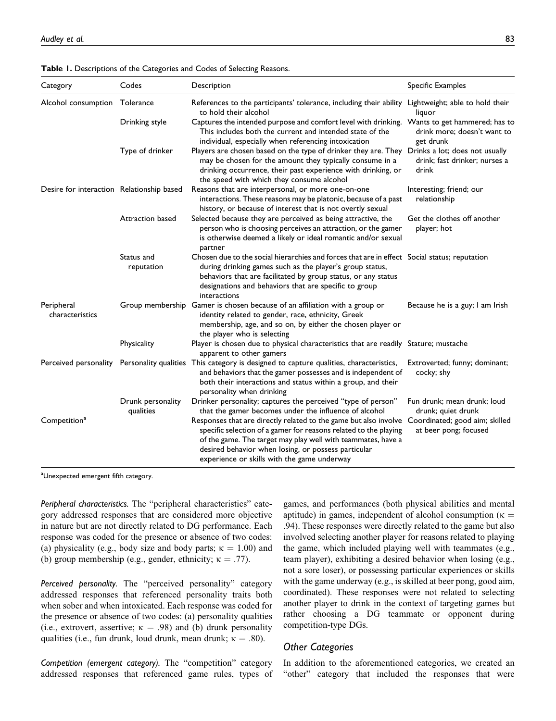| Category                                  | Codes                          | Description                                                                                                                                                                                                                                                                                                                               | Specific Examples                                                         |  |  |  |
|-------------------------------------------|--------------------------------|-------------------------------------------------------------------------------------------------------------------------------------------------------------------------------------------------------------------------------------------------------------------------------------------------------------------------------------------|---------------------------------------------------------------------------|--|--|--|
| Alcohol consumption                       | Tolerance                      | References to the participants' tolerance, including their ability Lightweight; able to hold their<br>to hold their alcohol                                                                                                                                                                                                               | liquor                                                                    |  |  |  |
|                                           | Drinking style                 | Captures the intended purpose and comfort level with drinking.<br>This includes both the current and intended state of the<br>individual, especially when referencing intoxication                                                                                                                                                        | Wants to get hammered; has to<br>drink more; doesn't want to<br>get drunk |  |  |  |
|                                           | Type of drinker                | Players are chosen based on the type of drinker they are. They Drinks a lot; does not usually<br>may be chosen for the amount they typically consume in a<br>drinking occurrence, their past experience with drinking, or<br>the speed with which they consume alcohol                                                                    | drink; fast drinker; nurses a<br>drink                                    |  |  |  |
| Desire for interaction Relationship based |                                | Reasons that are interpersonal, or more one-on-one<br>interactions. These reasons may be platonic, because of a past<br>history, or because of interest that is not overtly sexual                                                                                                                                                        | Interesting; friend; our<br>relationship                                  |  |  |  |
|                                           | Attraction based               | Selected because they are perceived as being attractive, the<br>person who is choosing perceives an attraction, or the gamer<br>is otherwise deemed a likely or ideal romantic and/or sexual<br>partner                                                                                                                                   | Get the clothes off another<br>player; hot                                |  |  |  |
|                                           | Status and<br>reputation       | Chosen due to the social hierarchies and forces that are in effect Social status; reputation<br>during drinking games such as the player's group status,<br>behaviors that are facilitated by group status, or any status<br>designations and behaviors that are specific to group<br>interactions                                        |                                                                           |  |  |  |
| Peripheral<br>characteristics             |                                | Group membership Gamer is chosen because of an affiliation with a group or<br>identity related to gender, race, ethnicity, Greek<br>membership, age, and so on, by either the chosen player or<br>the player who is selecting                                                                                                             | Because he is a guy; I am Irish                                           |  |  |  |
|                                           | Physicality                    | Player is chosen due to physical characteristics that are readily Stature; mustache<br>apparent to other gamers                                                                                                                                                                                                                           |                                                                           |  |  |  |
|                                           |                                | Perceived personality Personality qualities This category is designed to capture qualities, characteristics,<br>and behaviors that the gamer possesses and is independent of<br>both their interactions and status within a group, and their<br>personality when drinking                                                                 | Extroverted; funny; dominant;<br>cocky; shy                               |  |  |  |
|                                           | Drunk personality<br>qualities | Drinker personality; captures the perceived "type of person"<br>that the gamer becomes under the influence of alcohol                                                                                                                                                                                                                     | Fun drunk; mean drunk; loud<br>drunk; quiet drunk                         |  |  |  |
| Competition <sup>a</sup>                  |                                | Responses that are directly related to the game but also involve Coordinated; good aim; skilled<br>specific selection of a gamer for reasons related to the playing<br>of the game. The target may play well with teammates, have a<br>desired behavior when losing, or possess particular<br>experience or skills with the game underway | at beer pong; focused                                                     |  |  |  |

Table 1. Descriptions of the Categories and Codes of Selecting Reasons.

<sup>a</sup>Unexpected emergent fifth category.

Peripheral characteristics. The "peripheral characteristics" category addressed responses that are considered more objective in nature but are not directly related to DG performance. Each response was coded for the presence or absence of two codes: (a) physicality (e.g., body size and body parts;  $\kappa = 1.00$ ) and (b) group membership (e.g., gender, ethnicity;  $\kappa = .77$ ).

Perceived personality. The "perceived personality" category addressed responses that referenced personality traits both when sober and when intoxicated. Each response was coded for the presence or absence of two codes: (a) personality qualities (i.e., extrovert, assertive;  $\kappa = .98$ ) and (b) drunk personality qualities (i.e., fun drunk, loud drunk, mean drunk;  $\kappa = .80$ ).

Competition (emergent category). The "competition" category addressed responses that referenced game rules, types of games, and performances (both physical abilities and mental aptitude) in games, independent of alcohol consumption ( $\kappa =$ .94). These responses were directly related to the game but also involved selecting another player for reasons related to playing the game, which included playing well with teammates (e.g., team player), exhibiting a desired behavior when losing (e.g., not a sore loser), or possessing particular experiences or skills with the game underway (e.g., is skilled at beer pong, good aim, coordinated). These responses were not related to selecting another player to drink in the context of targeting games but rather choosing a DG teammate or opponent during competition-type DGs.

### Other Categories

In addition to the aforementioned categories, we created an "other" category that included the responses that were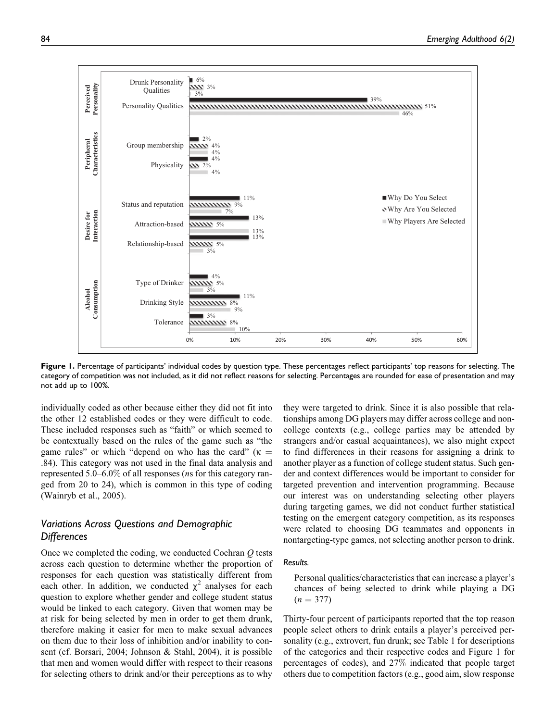

Figure 1. Percentage of participants' individual codes by question type. These percentages reflect participants' top reasons for selecting. The category of competition was not included, as it did not reflect reasons for selecting. Percentages are rounded for ease of presentation and may not add up to 100%.

individually coded as other because either they did not fit into the other 12 established codes or they were difficult to code. These included responses such as "faith" or which seemed to be contextually based on the rules of the game such as "the game rules" or which "depend on who has the card" ( $\kappa$  = .84). This category was not used in the final data analysis and represented 5.0–6.0% of all responses (ns for this category ranged from 20 to 24), which is common in this type of coding (Wainryb et al., 2005).

# Variations Across Questions and Demographic **Differences**

Once we completed the coding, we conducted Cochran  $Q$  tests across each question to determine whether the proportion of responses for each question was statistically different from each other. In addition, we conducted  $\chi^2$  analyses for each question to explore whether gender and college student status would be linked to each category. Given that women may be at risk for being selected by men in order to get them drunk, therefore making it easier for men to make sexual advances on them due to their loss of inhibition and/or inability to consent (cf. Borsari, 2004; Johnson & Stahl, 2004), it is possible that men and women would differ with respect to their reasons for selecting others to drink and/or their perceptions as to why

they were targeted to drink. Since it is also possible that relationships among DG players may differ across college and noncollege contexts (e.g., college parties may be attended by strangers and/or casual acquaintances), we also might expect to find differences in their reasons for assigning a drink to another player as a function of college student status. Such gender and context differences would be important to consider for targeted prevention and intervention programming. Because our interest was on understanding selecting other players during targeting games, we did not conduct further statistical testing on the emergent category competition, as its responses were related to choosing DG teammates and opponents in nontargeting-type games, not selecting another person to drink.

### Results.

Personal qualities/characteristics that can increase a player's chances of being selected to drink while playing a DG  $(n = 377)$ 

Thirty-four percent of participants reported that the top reason people select others to drink entails a player's perceived personality (e.g., extrovert, fun drunk; see Table 1 for descriptions of the categories and their respective codes and Figure 1 for percentages of codes), and 27% indicated that people target others due to competition factors (e.g., good aim, slow response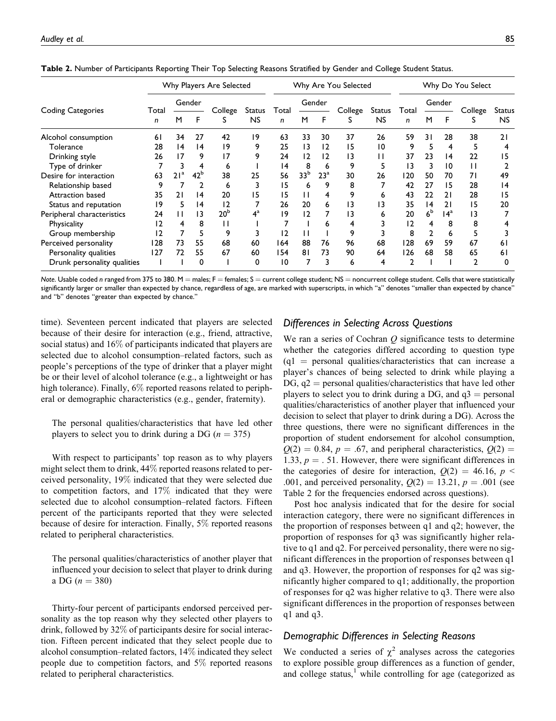|                             | Why Players Are Selected |                 |        |                 | Why Are You Selected |            |                 |                 | Why Do You Select |                     |            |                |        |              |                     |
|-----------------------------|--------------------------|-----------------|--------|-----------------|----------------------|------------|-----------------|-----------------|-------------------|---------------------|------------|----------------|--------|--------------|---------------------|
|                             | Total<br>n               | Gender          |        |                 |                      |            | Gender          |                 |                   |                     |            | Gender         |        |              |                     |
| <b>Coding Categories</b>    |                          | M               | F      | College<br>S    | Status<br><b>NS</b>  | Total<br>n | M               | F               | College<br>S      | Status<br><b>NS</b> | Total<br>n | м              | F      | College<br>S | Status<br><b>NS</b> |
| Alcohol consumption         | 61                       | 34              | 27     | 42              | 19                   | 63         | 33              | 30              | 37                | 26                  | 59         | 31             | 28     | 38           | 21                  |
| Tolerance                   | 28                       | 14              | 14     | 19              | 9                    | 25         | $\overline{13}$ | 12              | 15                | 10                  | 9          | 5              | 4      | 5            |                     |
| Drinking style              | 26                       | 17              | 9      | 17              | 9                    | 24         | 12              | 12              | 13                | $\mathbf{1}$        | 37         | 23             | 14     | 22           | 15                  |
| Type of drinker             | 7                        | 3               | 4      | 6               |                      | 4          | 8               | 6               | 9                 | 5                   | 13         | 3              | 10     | Ħ            |                     |
| Desire for interaction      | 63                       | 21 <sup>a</sup> | $42^b$ | 38              | 25                   | 56         | 33 <sup>b</sup> | 23 <sup>a</sup> | 30                | 26                  | 120        | 50             | 70     | 71           | 49                  |
| Relationship based          | 9                        |                 | 2      | 6               |                      | 15         | 6               | 9               | 8                 |                     | 42         | 27             | 15     | 28           | 14                  |
| Attraction based            | 35                       | 21              | 14     | 20              | 15                   | 15         | Ш               | 4               | 9                 | 6                   | 43         | 22             | 21     | 28           | 15                  |
| Status and reputation       | 19                       | 5               | 14     | $\overline{2}$  |                      | 26         | 20              | 6               | 13                | 13                  | 35         | 14             | 21     | 15           | 20                  |
| Peripheral characteristics  | 24                       | П               | 13     | 20 <sup>b</sup> | $4^{\mathrm{a}}$     | 9          | 12              |                 | 13                | 6                   | 20         | 6 <sup>b</sup> | $14^a$ | 13           |                     |
| Physicality                 | 12                       | 4               | 8      | Ħ               |                      |            |                 | 6               | 4                 |                     | 12         | 4              | 8      | 8            |                     |
| Group membership            | $\overline{12}$          | 7               |        | 9               |                      | 12         |                 |                 | 9                 |                     | 8          | 2              | 6      |              |                     |
| Perceived personality       | 128                      | 73              | 55     | 68              | 60                   | 164        | 88              | 76              | 96                | 68                  | 128        | 69             | 59     | 67           | 6 I                 |
| Personality qualities       | 127                      | 72              | 55     | 67              | 60                   | 154        | 81              | 73              | 90                | 64                  | 126        | 68             | 58     | 65           | 61                  |
| Drunk personality qualities |                          |                 | 0      |                 | $\Omega$             | 10         |                 |                 | 6                 | 4                   | 2          |                |        | 2            | ŋ                   |

Table 2. Number of Participants Reporting Their Top Selecting Reasons Stratified by Gender and College Student Status.

Note. Usable coded n ranged from 375 to 380. M = males; F = females; S = current college student; NS = noncurrent college student. Cells that were statistically significantly larger or smaller than expected by chance, regardless of age, are marked with superscripts, in which "a" denotes "smaller than expected by chance" and "b" denotes "greater than expected by chance."

time). Seventeen percent indicated that players are selected because of their desire for interaction (e.g., friend, attractive, social status) and 16% of participants indicated that players are selected due to alcohol consumption–related factors, such as people's perceptions of the type of drinker that a player might be or their level of alcohol tolerance (e.g., a lightweight or has high tolerance). Finally, 6% reported reasons related to peripheral or demographic characteristics (e.g., gender, fraternity).

The personal qualities/characteristics that have led other players to select you to drink during a DG ( $n = 375$ )

With respect to participants' top reason as to why players might select them to drink, 44% reported reasons related to perceived personality, 19% indicated that they were selected due to competition factors, and 17% indicated that they were selected due to alcohol consumption–related factors. Fifteen percent of the participants reported that they were selected because of desire for interaction. Finally, 5% reported reasons related to peripheral characteristics.

The personal qualities/characteristics of another player that influenced your decision to select that player to drink during a DG  $(n = 380)$ 

Thirty-four percent of participants endorsed perceived personality as the top reason why they selected other players to drink, followed by 32% of participants desire for social interaction. Fifteen percent indicated that they select people due to alcohol consumption–related factors, 14% indicated they select people due to competition factors, and 5% reported reasons related to peripheral characteristics.

## Differences in Selecting Across Questions

We ran a series of Cochran  $Q$  significance tests to determine whether the categories differed according to question type  $(q1$  = personal qualities/characteristics that can increase a player's chances of being selected to drink while playing a  $DG, q2 =$  personal qualities/characteristics that have led other players to select you to drink during a DG, and  $q3$  = personal qualities/characteristics of another player that influenced your decision to select that player to drink during a DG). Across the three questions, there were no significant differences in the proportion of student endorsement for alcohol consumption,  $Q(2) = 0.84$ ,  $p = .67$ , and peripheral characteristics,  $Q(2) =$ 1.33,  $p = 0.51$ . However, there were significant differences in the categories of desire for interaction,  $Q(2) = 46.16$ ,  $p <$ .001, and perceived personality,  $Q(2) = 13.21$ ,  $p = .001$  (see Table 2 for the frequencies endorsed across questions).

Post hoc analysis indicated that for the desire for social interaction category, there were no significant differences in the proportion of responses between q1 and q2; however, the proportion of responses for q3 was significantly higher relative to q1 and q2. For perceived personality, there were no significant differences in the proportion of responses between q1 and q3. However, the proportion of responses for q2 was significantly higher compared to q1; additionally, the proportion of responses for q2 was higher relative to q3. There were also significant differences in the proportion of responses between q1 and q3.

# Demographic Differences in Selecting Reasons

We conducted a series of  $\chi^2$  analyses across the categories to explore possible group differences as a function of gender, and college status, $<sup>1</sup>$  while controlling for age (categorized as</sup>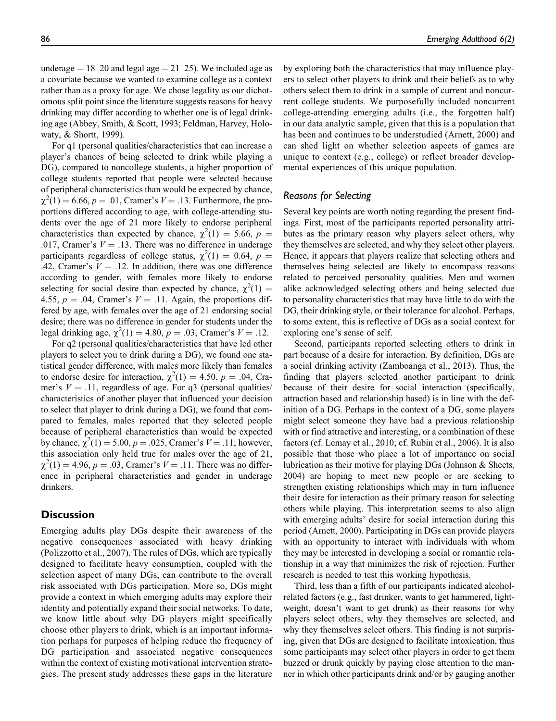underage  $= 18-20$  and legal age  $= 21-25$ ). We included age as a covariate because we wanted to examine college as a context rather than as a proxy for age. We chose legality as our dichotomous split point since the literature suggests reasons for heavy drinking may differ according to whether one is of legal drinking age (Abbey, Smith, & Scott, 1993; Feldman, Harvey, Holowaty, & Shortt, 1999).

For q1 (personal qualities/characteristics that can increase a player's chances of being selected to drink while playing a DG), compared to noncollege students, a higher proportion of college students reported that people were selected because of peripheral characteristics than would be expected by chance,  $\chi^2(1) = 6.66, p = .01$ , Cramer's  $V = .13$ . Furthermore, the proportions differed according to age, with college-attending students over the age of 21 more likely to endorse peripheral characteristics than expected by chance,  $\chi^2(1) = 5.66$ ,  $p =$ .017, Cramer's  $V = .13$ . There was no difference in underage participants regardless of college status,  $\chi^2(1) = 0.64$ ,  $p =$ .42, Cramer's  $V = .12$ . In addition, there was one difference according to gender, with females more likely to endorse selecting for social desire than expected by chance,  $\chi^2(1)$  = 4.55,  $p = .04$ , Cramer's  $V = .11$ . Again, the proportions differed by age, with females over the age of 21 endorsing social desire; there was no difference in gender for students under the legal drinking age,  $\chi^2(1) = 4.80$ ,  $p = .03$ , Cramer's  $V = .12$ .

For q2 (personal qualities/characteristics that have led other players to select you to drink during a DG), we found one statistical gender difference, with males more likely than females to endorse desire for interaction,  $\chi^2(1) = 4.50$ ,  $p = .04$ , Cramer's  $V = .11$ , regardless of age. For q3 (personal qualities/ characteristics of another player that influenced your decision to select that player to drink during a DG), we found that compared to females, males reported that they selected people because of peripheral characteristics than would be expected by chance,  $\chi^2(1) = 5.00, p = .025$ , Cramer's  $V = .11$ ; however, this association only held true for males over the age of 21,  $\chi^2(1) = 4.96, p = .03$ , Cramer's  $V = .11$ . There was no difference in peripheral characteristics and gender in underage drinkers.

# **Discussion**

Emerging adults play DGs despite their awareness of the negative consequences associated with heavy drinking (Polizzotto et al., 2007). The rules of DGs, which are typically designed to facilitate heavy consumption, coupled with the selection aspect of many DGs, can contribute to the overall risk associated with DGs participation. More so, DGs might provide a context in which emerging adults may explore their identity and potentially expand their social networks. To date, we know little about why DG players might specifically choose other players to drink, which is an important information perhaps for purposes of helping reduce the frequency of DG participation and associated negative consequences within the context of existing motivational intervention strategies. The present study addresses these gaps in the literature

by exploring both the characteristics that may influence players to select other players to drink and their beliefs as to why others select them to drink in a sample of current and noncurrent college students. We purposefully included noncurrent college-attending emerging adults (i.e., the forgotten half) in our data analytic sample, given that this is a population that has been and continues to be understudied (Arnett, 2000) and can shed light on whether selection aspects of games are unique to context (e.g., college) or reflect broader developmental experiences of this unique population.

# Reasons for Selecting

Several key points are worth noting regarding the present findings. First, most of the participants reported personality attributes as the primary reason why players select others, why they themselves are selected, and why they select other players. Hence, it appears that players realize that selecting others and themselves being selected are likely to encompass reasons related to perceived personality qualities. Men and women alike acknowledged selecting others and being selected due to personality characteristics that may have little to do with the DG, their drinking style, or their tolerance for alcohol. Perhaps, to some extent, this is reflective of DGs as a social context for exploring one's sense of self.

Second, participants reported selecting others to drink in part because of a desire for interaction. By definition, DGs are a social drinking activity (Zamboanga et al., 2013). Thus, the finding that players selected another participant to drink because of their desire for social interaction (specifically, attraction based and relationship based) is in line with the definition of a DG. Perhaps in the context of a DG, some players might select someone they have had a previous relationship with or find attractive and interesting, or a combination of these factors (cf. Lemay et al., 2010; cf. Rubin et al., 2006). It is also possible that those who place a lot of importance on social lubrication as their motive for playing DGs (Johnson & Sheets, 2004) are hoping to meet new people or are seeking to strengthen existing relationships which may in turn influence their desire for interaction as their primary reason for selecting others while playing. This interpretation seems to also align with emerging adults' desire for social interaction during this period (Arnett, 2000). Participating in DGs can provide players with an opportunity to interact with individuals with whom they may be interested in developing a social or romantic relationship in a way that minimizes the risk of rejection. Further research is needed to test this working hypothesis.

Third, less than a fifth of our participants indicated alcoholrelated factors (e.g., fast drinker, wants to get hammered, lightweight, doesn't want to get drunk) as their reasons for why players select others, why they themselves are selected, and why they themselves select others. This finding is not surprising, given that DGs are designed to facilitate intoxication, thus some participants may select other players in order to get them buzzed or drunk quickly by paying close attention to the manner in which other participants drink and/or by gauging another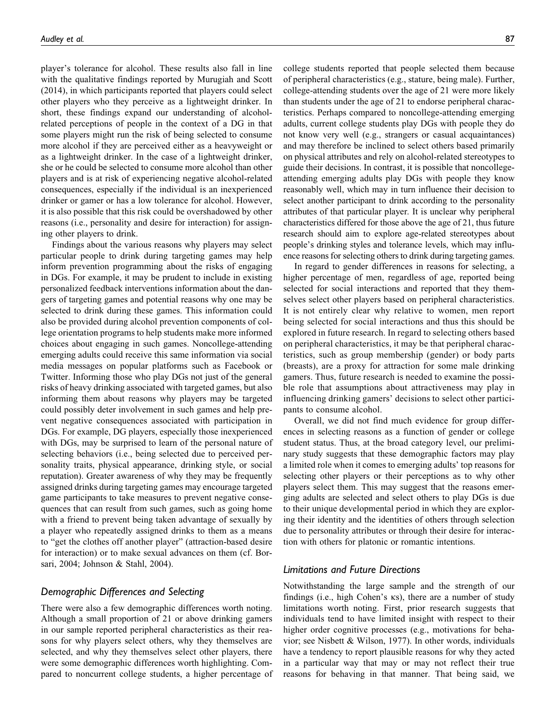player's tolerance for alcohol. These results also fall in line with the qualitative findings reported by Murugiah and Scott (2014), in which participants reported that players could select other players who they perceive as a lightweight drinker. In short, these findings expand our understanding of alcoholrelated perceptions of people in the context of a DG in that some players might run the risk of being selected to consume more alcohol if they are perceived either as a heavyweight or as a lightweight drinker. In the case of a lightweight drinker, she or he could be selected to consume more alcohol than other players and is at risk of experiencing negative alcohol-related consequences, especially if the individual is an inexperienced drinker or gamer or has a low tolerance for alcohol. However, it is also possible that this risk could be overshadowed by other reasons (i.e., personality and desire for interaction) for assigning other players to drink.

Findings about the various reasons why players may select particular people to drink during targeting games may help inform prevention programming about the risks of engaging in DGs. For example, it may be prudent to include in existing personalized feedback interventions information about the dangers of targeting games and potential reasons why one may be selected to drink during these games. This information could also be provided during alcohol prevention components of college orientation programs to help students make more informed choices about engaging in such games. Noncollege-attending emerging adults could receive this same information via social media messages on popular platforms such as Facebook or Twitter. Informing those who play DGs not just of the general risks of heavy drinking associated with targeted games, but also informing them about reasons why players may be targeted could possibly deter involvement in such games and help prevent negative consequences associated with participation in DGs. For example, DG players, especially those inexperienced with DGs, may be surprised to learn of the personal nature of selecting behaviors (i.e., being selected due to perceived personality traits, physical appearance, drinking style, or social reputation). Greater awareness of why they may be frequently assigned drinks during targeting games may encourage targeted game participants to take measures to prevent negative consequences that can result from such games, such as going home with a friend to prevent being taken advantage of sexually by a player who repeatedly assigned drinks to them as a means to "get the clothes off another player" (attraction-based desire for interaction) or to make sexual advances on them (cf. Borsari, 2004; Johnson & Stahl, 2004).

# Demographic Differences and Selecting

There were also a few demographic differences worth noting. Although a small proportion of 21 or above drinking gamers in our sample reported peripheral characteristics as their reasons for why players select others, why they themselves are selected, and why they themselves select other players, there were some demographic differences worth highlighting. Compared to noncurrent college students, a higher percentage of college students reported that people selected them because of peripheral characteristics (e.g., stature, being male). Further, college-attending students over the age of 21 were more likely than students under the age of 21 to endorse peripheral characteristics. Perhaps compared to noncollege-attending emerging adults, current college students play DGs with people they do not know very well (e.g., strangers or casual acquaintances) and may therefore be inclined to select others based primarily on physical attributes and rely on alcohol-related stereotypes to guide their decisions. In contrast, it is possible that noncollegeattending emerging adults play DGs with people they know reasonably well, which may in turn influence their decision to select another participant to drink according to the personality attributes of that particular player. It is unclear why peripheral characteristics differed for those above the age of 21, thus future research should aim to explore age-related stereotypes about people's drinking styles and tolerance levels, which may influence reasons for selecting others to drink during targeting games.

In regard to gender differences in reasons for selecting, a higher percentage of men, regardless of age, reported being selected for social interactions and reported that they themselves select other players based on peripheral characteristics. It is not entirely clear why relative to women, men report being selected for social interactions and thus this should be explored in future research. In regard to selecting others based on peripheral characteristics, it may be that peripheral characteristics, such as group membership (gender) or body parts (breasts), are a proxy for attraction for some male drinking gamers. Thus, future research is needed to examine the possible role that assumptions about attractiveness may play in influencing drinking gamers' decisions to select other participants to consume alcohol.

Overall, we did not find much evidence for group differences in selecting reasons as a function of gender or college student status. Thus, at the broad category level, our preliminary study suggests that these demographic factors may play a limited role when it comes to emerging adults' top reasons for selecting other players or their perceptions as to why other players select them. This may suggest that the reasons emerging adults are selected and select others to play DGs is due to their unique developmental period in which they are exploring their identity and the identities of others through selection due to personality attributes or through their desire for interaction with others for platonic or romantic intentions.

## Limitations and Future Directions

Notwithstanding the large sample and the strength of our findings (i.e., high Cohen's ks), there are a number of study limitations worth noting. First, prior research suggests that individuals tend to have limited insight with respect to their higher order cognitive processes (e.g., motivations for behavior; see Nisbett & Wilson, 1977). In other words, individuals have a tendency to report plausible reasons for why they acted in a particular way that may or may not reflect their true reasons for behaving in that manner. That being said, we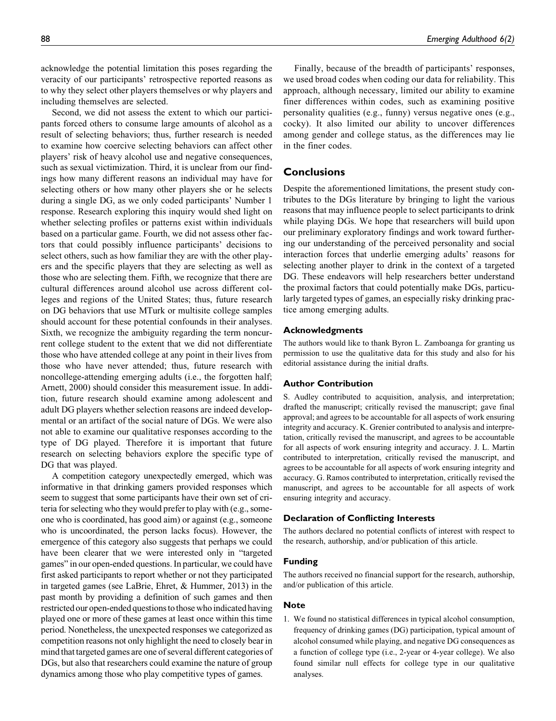acknowledge the potential limitation this poses regarding the veracity of our participants' retrospective reported reasons as to why they select other players themselves or why players and including themselves are selected.

Second, we did not assess the extent to which our participants forced others to consume large amounts of alcohol as a result of selecting behaviors; thus, further research is needed to examine how coercive selecting behaviors can affect other players' risk of heavy alcohol use and negative consequences, such as sexual victimization. Third, it is unclear from our findings how many different reasons an individual may have for selecting others or how many other players she or he selects during a single DG, as we only coded participants' Number 1 response. Research exploring this inquiry would shed light on whether selecting profiles or patterns exist within individuals based on a particular game. Fourth, we did not assess other factors that could possibly influence participants' decisions to select others, such as how familiar they are with the other players and the specific players that they are selecting as well as those who are selecting them. Fifth, we recognize that there are cultural differences around alcohol use across different colleges and regions of the United States; thus, future research on DG behaviors that use MTurk or multisite college samples should account for these potential confounds in their analyses. Sixth, we recognize the ambiguity regarding the term noncurrent college student to the extent that we did not differentiate those who have attended college at any point in their lives from those who have never attended; thus, future research with noncollege-attending emerging adults (i.e., the forgotten half; Arnett, 2000) should consider this measurement issue. In addition, future research should examine among adolescent and adult DG players whether selection reasons are indeed developmental or an artifact of the social nature of DGs. We were also not able to examine our qualitative responses according to the type of DG played. Therefore it is important that future research on selecting behaviors explore the specific type of DG that was played.

A competition category unexpectedly emerged, which was informative in that drinking gamers provided responses which seem to suggest that some participants have their own set of criteria for selecting who they would prefer to play with (e.g., someone who is coordinated, has good aim) or against (e.g., someone who is uncoordinated, the person lacks focus). However, the emergence of this category also suggests that perhaps we could have been clearer that we were interested only in "targeted games" in our open-ended questions. In particular, we could have first asked participants to report whether or not they participated in targeted games (see LaBrie, Ehret, & Hummer, 2013) in the past month by providing a definition of such games and then restricted our open-ended questions to those who indicated having played one or more of these games at least once within this time period. Nonetheless, the unexpected responses we categorized as competition reasons not only highlight the need to closely bear in mind that targeted games are one of several different categories of DGs, but also that researchers could examine the nature of group dynamics among those who play competitive types of games.

Finally, because of the breadth of participants' responses, we used broad codes when coding our data for reliability. This approach, although necessary, limited our ability to examine finer differences within codes, such as examining positive personality qualities (e.g., funny) versus negative ones (e.g., cocky). It also limited our ability to uncover differences among gender and college status, as the differences may lie in the finer codes.

# **Conclusions**

Despite the aforementioned limitations, the present study contributes to the DGs literature by bringing to light the various reasons that may influence people to select participants to drink while playing DGs. We hope that researchers will build upon our preliminary exploratory findings and work toward furthering our understanding of the perceived personality and social interaction forces that underlie emerging adults' reasons for selecting another player to drink in the context of a targeted DG. These endeavors will help researchers better understand the proximal factors that could potentially make DGs, particularly targeted types of games, an especially risky drinking practice among emerging adults.

#### Acknowledgments

The authors would like to thank Byron L. Zamboanga for granting us permission to use the qualitative data for this study and also for his editorial assistance during the initial drafts.

#### Author Contribution

S. Audley contributed to acquisition, analysis, and interpretation; drafted the manuscript; critically revised the manuscript; gave final approval; and agrees to be accountable for all aspects of work ensuring integrity and accuracy. K. Grenier contributed to analysis and interpretation, critically revised the manuscript, and agrees to be accountable for all aspects of work ensuring integrity and accuracy. J. L. Martin contributed to interpretation, critically revised the manuscript, and agrees to be accountable for all aspects of work ensuring integrity and accuracy. G. Ramos contributed to interpretation, critically revised the manuscript, and agrees to be accountable for all aspects of work ensuring integrity and accuracy.

### Declaration of Conflicting Interests

The authors declared no potential conflicts of interest with respect to the research, authorship, and/or publication of this article.

#### Funding

The authors received no financial support for the research, authorship, and/or publication of this article.

#### Note

1. We found no statistical differences in typical alcohol consumption, frequency of drinking games (DG) participation, typical amount of alcohol consumed while playing, and negative DG consequences as a function of college type (i.e., 2-year or 4-year college). We also found similar null effects for college type in our qualitative analyses.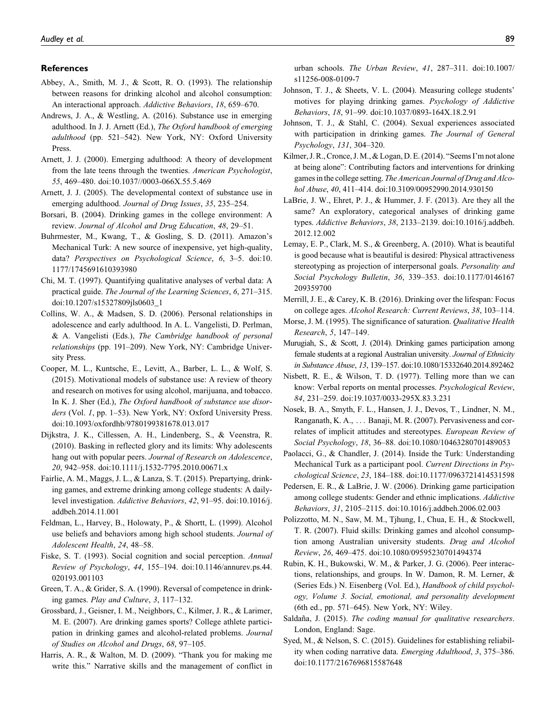#### References

- Abbey, A., Smith, M. J., & Scott, R. O. (1993). The relationship between reasons for drinking alcohol and alcohol consumption: An interactional approach. Addictive Behaviors, 18, 659–670.
- Andrews, J. A., & Westling, A. (2016). Substance use in emerging adulthood. In J. J. Arnett (Ed.), The Oxford handbook of emerging adulthood (pp. 521-542). New York, NY: Oxford University Press.
- Arnett, J. J. (2000). Emerging adulthood: A theory of development from the late teens through the twenties. American Psychologist, 55, 469–480. doi:10.1037//0003-066X.55.5.469
- Arnett, J. J. (2005). The developmental context of substance use in emerging adulthood. Journal of Drug Issues, 35, 235-254.
- Borsari, B. (2004). Drinking games in the college environment: A review. Journal of Alcohol and Drug Education, 48, 29–51.
- Buhrmester, M., Kwang, T., & Gosling, S. D. (2011). Amazon's Mechanical Turk: A new source of inexpensive, yet high-quality, data? Perspectives on Psychological Science, 6, 3–5. doi:10. 1177/1745691610393980
- Chi, M. T. (1997). Quantifying qualitative analyses of verbal data: A practical guide. The Journal of the Learning Sciences, 6, 271–315. doi:10.1207/s15327809jls0603\_1
- Collins, W. A., & Madsen, S. D. (2006). Personal relationships in adolescence and early adulthood. In A. L. Vangelisti, D. Perlman, & A. Vangelisti (Eds.), The Cambridge handbook of personal relationships (pp. 191–209). New York, NY: Cambridge University Press.
- Cooper, M. L., Kuntsche, E., Levitt, A., Barber, L. L., & Wolf, S. (2015). Motivational models of substance use: A review of theory and research on motives for using alcohol, marijuana, and tobacco. In K. J. Sher (Ed.), The Oxford handbook of substance use disorders (Vol. 1, pp. 1–53). New York, NY: Oxford University Press. doi:10.1093/oxfordhb/9780199381678.013.017
- Dijkstra, J. K., Cillessen, A. H., Lindenberg, S., & Veenstra, R. (2010). Basking in reflected glory and its limits: Why adolescents hang out with popular peers. Journal of Research on Adolescence, 20, 942–958. doi:10.1111/j.1532-7795.2010.00671.x
- Fairlie, A. M., Maggs, J. L., & Lanza, S. T. (2015). Prepartying, drinking games, and extreme drinking among college students: A dailylevel investigation. Addictive Behaviors, 42, 91–95. doi:10.1016/j. addbeh.2014.11.001
- Feldman, L., Harvey, B., Holowaty, P., & Shortt, L. (1999). Alcohol use beliefs and behaviors among high school students. Journal of Adolescent Health, 24, 48–58.
- Fiske, S. T. (1993). Social cognition and social perception. Annual Review of Psychology, 44, 155–194. doi:10.1146/annurev.ps.44. 020193.001103
- Green, T. A., & Grider, S. A. (1990). Reversal of competence in drinking games. Play and Culture, 3, 117–132.
- Grossbard, J., Geisner, I. M., Neighbors, C., Kilmer, J. R., & Larimer, M. E. (2007). Are drinking games sports? College athlete participation in drinking games and alcohol-related problems. Journal of Studies on Alcohol and Drugs, 68, 97–105.
- Harris, A. R., & Walton, M. D. (2009). "Thank you for making me write this." Narrative skills and the management of conflict in

urban schools. The Urban Review, 41, 287–311. doi:10.1007/ s11256-008-0109-7

- Johnson, T. J., & Sheets, V. L. (2004). Measuring college students' motives for playing drinking games. Psychology of Addictive Behaviors, 18, 91–99. doi:10.1037/0893-164X.18.2.91
- Johnson, T. J., & Stahl, C. (2004). Sexual experiences associated with participation in drinking games. The Journal of General Psychology, 131, 304–320.
- Kilmer, J. R., Cronce, J.M., & Logan, D. E. (2014). "Seems I'm not alone at being alone": Contributing factors and interventions for drinking games inthe college setting. The American Journal of Drug and Alcohol Abuse, 40, 411–414. doi:10.3109/00952990.2014.930150
- LaBrie, J. W., Ehret, P. J., & Hummer, J. F. (2013). Are they all the same? An exploratory, categorical analyses of drinking game types. Addictive Behaviors, 38, 2133–2139. doi:10.1016/j.addbeh. 2012.12.002
- Lemay, E. P., Clark, M. S., & Greenberg, A. (2010). What is beautiful is good because what is beautiful is desired: Physical attractiveness stereotyping as projection of interpersonal goals. Personality and Social Psychology Bulletin, 36, 339–353. doi:10.1177/0146167 209359700
- Merrill, J. E., & Carey, K. B. (2016). Drinking over the lifespan: Focus on college ages. Alcohol Research: Current Reviews, 38, 103–114.
- Morse, J. M. (1995). The significance of saturation. Qualitative Health Research, 5, 147–149.
- Murugiah, S., & Scott, J. (2014). Drinking games participation among female students at a regional Australian university. Journal of Ethnicity in Substance Abuse, 13, 139–157. doi:10.1080/15332640.2014.892462
- Nisbett, R. E., & Wilson, T. D. (1977). Telling more than we can know: Verbal reports on mental processes. Psychological Review, 84, 231–259. doi:19.1037/0033-295X.83.3.231
- Nosek, B. A., Smyth, F. L., Hansen, J. J., Devos, T., Lindner, N. M., Ranganath, K. A., ... Banaji, M. R. (2007). Pervasiveness and correlates of implicit attitudes and stereotypes. European Review of Social Psychology, 18, 36–88. doi:10.1080/10463280701489053
- Paolacci, G., & Chandler, J. (2014). Inside the Turk: Understanding Mechanical Turk as a participant pool. Current Directions in Psychological Science, 23, 184–188. doi:10.1177/0963721414531598
- Pedersen, E. R., & LaBrie, J. W. (2006). Drinking game participation among college students: Gender and ethnic implications. Addictive Behaviors, 31, 2105–2115. doi:10.1016/j.addbeh.2006.02.003
- Polizzotto, M. N., Saw, M. M., Tjhung, I., Chua, E. H., & Stockwell, T. R. (2007). Fluid skills: Drinking games and alcohol consumption among Australian university students. Drug and Alcohol Review, 26, 469–475. doi:10.1080/09595230701494374
- Rubin, K. H., Bukowski, W. M., & Parker, J. G. (2006). Peer interactions, relationships, and groups. In W. Damon, R. M. Lerner, & (Series Eds.) N. Eisenberg (Vol. Ed.), Handbook of child psychology, Volume 3. Social, emotional, and personality development (6th ed., pp. 571–645). New York, NY: Wiley.
- Saldaña, J. (2015). The coding manual for qualitative researchers. London, England: Sage.
- Syed, M., & Nelson, S. C. (2015). Guidelines for establishing reliability when coding narrative data. Emerging Adulthood, 3, 375–386. doi:10.1177/2167696815587648